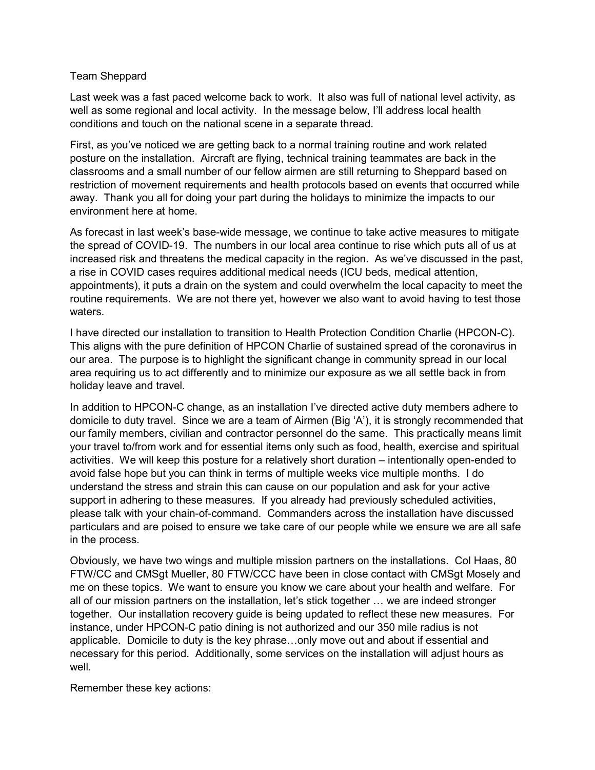## Team Sheppard

Last week was a fast paced welcome back to work. It also was full of national level activity, as well as some regional and local activity. In the message below, I'll address local health conditions and touch on the national scene in a separate thread.

First, as you've noticed we are getting back to a normal training routine and work related posture on the installation. Aircraft are flying, technical training teammates are back in the classrooms and a small number of our fellow airmen are still returning to Sheppard based on restriction of movement requirements and health protocols based on events that occurred while away. Thank you all for doing your part during the holidays to minimize the impacts to our environment here at home.

As forecast in last week's base-wide message, we continue to take active measures to mitigate the spread of COVID-19. The numbers in our local area continue to rise which puts all of us at increased risk and threatens the medical capacity in the region. As we've discussed in the past, a rise in COVID cases requires additional medical needs (ICU beds, medical attention, appointments), it puts a drain on the system and could overwhelm the local capacity to meet the routine requirements. We are not there yet, however we also want to avoid having to test those waters.

I have directed our installation to transition to Health Protection Condition Charlie (HPCON-C). This aligns with the pure definition of HPCON Charlie of sustained spread of the coronavirus in our area. The purpose is to highlight the significant change in community spread in our local area requiring us to act differently and to minimize our exposure as we all settle back in from holiday leave and travel.

In addition to HPCON-C change, as an installation I've directed active duty members adhere to domicile to duty travel. Since we are a team of Airmen (Big 'A'), it is strongly recommended that our family members, civilian and contractor personnel do the same. This practically means limit your travel to/from work and for essential items only such as food, health, exercise and spiritual activities. We will keep this posture for a relatively short duration – intentionally open-ended to avoid false hope but you can think in terms of multiple weeks vice multiple months. I do understand the stress and strain this can cause on our population and ask for your active support in adhering to these measures. If you already had previously scheduled activities, please talk with your chain-of-command. Commanders across the installation have discussed particulars and are poised to ensure we take care of our people while we ensure we are all safe in the process.

Obviously, we have two wings and multiple mission partners on the installations. Col Haas, 80 FTW/CC and CMSgt Mueller, 80 FTW/CCC have been in close contact with CMSgt Mosely and me on these topics. We want to ensure you know we care about your health and welfare. For all of our mission partners on the installation, let's stick together … we are indeed stronger together. Our installation recovery guide is being updated to reflect these new measures. For instance, under HPCON-C patio dining is not authorized and our 350 mile radius is not applicable. Domicile to duty is the key phrase…only move out and about if essential and necessary for this period. Additionally, some services on the installation will adjust hours as well.

Remember these key actions: